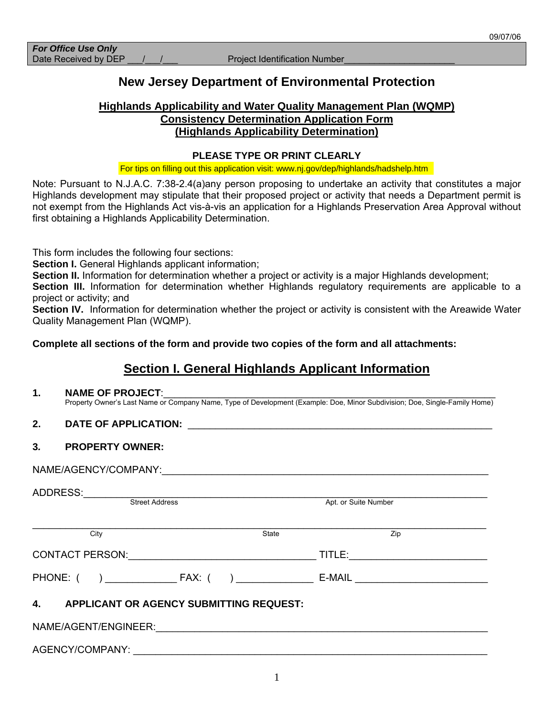# **New Jersey Department of Environmental Protection**

# **Highlands Applicability and Water Quality Management Plan (WQMP) Consistency Determination Application Form (Highlands Applicability Determination)**

### **PLEASE TYPE OR PRINT CLEARLY**

For tips on filling out this application visit: www.nj.gov/dep/highlands/hadshelp.htm

Note: Pursuant to N.J.A.C. 7:38-2.4(a)any person proposing to undertake an activity that constitutes a major Highlands development may stipulate that their proposed project or activity that needs a Department permit is not exempt from the Highlands Act vis-à-vis an application for a Highlands Preservation Area Approval without first obtaining a Highlands Applicability Determination.

This form includes the following four sections:

**Section I.** General Highlands applicant information;

**Section II.** Information for determination whether a project or activity is a major Highlands development;

**Section III.** Information for determination whether Highlands regulatory requirements are applicable to a project or activity; and

**Section IV.** Information for determination whether the project or activity is consistent with the Areawide Water Quality Management Plan (WQMP).

**Complete all sections of the form and provide two copies of the form and all attachments:** 

# **Section I. General Highlands Applicant Information**

# **1. NAME OF PROJECT**:\_\_\_\_\_\_\_\_\_\_\_\_\_\_\_\_\_\_\_\_\_\_\_\_\_\_\_\_\_\_\_\_\_\_\_\_\_\_\_\_\_\_\_\_\_\_\_\_\_\_\_\_\_\_\_\_\_\_\_\_

Property Owner's Last Name or Company Name, Type of Development (Example: Doe, Minor Subdivision; Doe, Single-Family Home)

### **2. DATE OF APPLICATION:** \_\_\_\_\_\_\_\_\_\_\_\_\_\_\_\_\_\_\_\_\_\_\_\_\_\_\_\_\_\_\_\_\_\_\_\_\_\_\_\_\_\_\_\_\_\_\_\_\_\_\_\_\_\_\_

## **3***.* **PROPERTY OWNER:**

NAME/AGENCY/COMPANY:

| ADDRESS:                                             |                                                                                                     |
|------------------------------------------------------|-----------------------------------------------------------------------------------------------------|
| <b>Street Address</b>                                | Apt. or Suite Number                                                                                |
|                                                      |                                                                                                     |
| City                                                 | Zip<br>State                                                                                        |
| <b>CONTACT PERSON:</b>                               | TITLE:<br>the control of the control of the control of the control of the control of the control of |
| PHONE: ( ) FAX: ( )                                  | $E-MAIL$<br><u> 1980 - Andrea Andrew Maria Barbara, pre</u>                                         |
| <b>APPLICANT OR AGENCY SUBMITTING REQUEST:</b><br>4. |                                                                                                     |
|                                                      |                                                                                                     |
| AGENCY/COMPANY:                                      |                                                                                                     |

1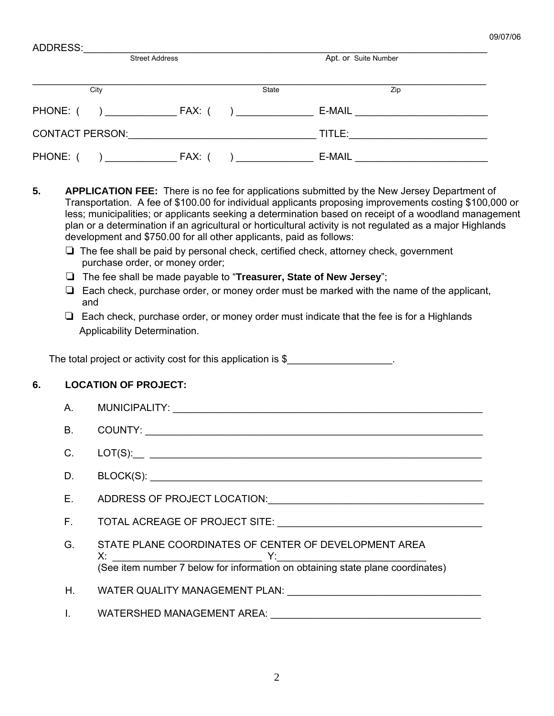| ADDRESS:                                                                                                        |                       |                      |                                                                                |  |  |
|-----------------------------------------------------------------------------------------------------------------|-----------------------|----------------------|--------------------------------------------------------------------------------|--|--|
|                                                                                                                 | <b>Street Address</b> | Apt. or Suite Number |                                                                                |  |  |
|                                                                                                                 |                       |                      |                                                                                |  |  |
| City                                                                                                            |                       | <b>State</b>         | Zip                                                                            |  |  |
| PHONE: ( ) FAX: ( )                                                                                             |                       |                      | E-MAIL <u>__________________________</u>                                       |  |  |
| CONTACT PERSON: And All Andrews And All Andrews And All Andrews And All Andrews And All Andrews And All Andrews |                       |                      | TITLE:                                                                         |  |  |
| PHONE: (<br>$\overline{a}$                                                                                      | FAX: (                | $\mathbf{I}$         | E-MAIL<br><u> 1986 - John Stein, Amerikaans en beskriuw om de Fryske komme</u> |  |  |

- **5. APPLICATION FEE:** There is no fee for applications submitted by the New Jersey Department of Transportation. A fee of \$100.00 for individual applicants proposing improvements costing \$100,000 or less; municipalities; or applicants seeking a determination based on receipt of a woodland management plan or a determination if an agricultural or horticultural activity is not regulated as a major Highlands development and \$750.00 for all other applicants, paid as follows:
	- $\Box$  The fee shall be paid by personal check, certified check, attorney check, government purchase order, or money order;
	- The fee shall be made payable to "**Treasurer, State of New Jersey**";
	- $\Box$  Each check, purchase order, or money order must be marked with the name of the applicant, and
	- $\Box$  Each check, purchase order, or money order must indicate that the fee is for a Highlands Applicability Determination.

The total project or activity cost for this application is \$

# **6. LOCATION OF PROJECT:**

| А. |                                                                                                                                            |
|----|--------------------------------------------------------------------------------------------------------------------------------------------|
| B. |                                                                                                                                            |
| C. |                                                                                                                                            |
|    |                                                                                                                                            |
|    | E. ADDRESS OF PROJECT LOCATION: And All Annual Account of ADDRESS OF PROJECT LOCATION:                                                     |
|    |                                                                                                                                            |
|    | G. STATE PLANE COORDINATES OF CENTER OF DEVELOPMENT AREA<br>(See item number 7 below for information on obtaining state plane coordinates) |
|    | H. WATER QUALITY MANAGEMENT PLAN: University Accounts and Accounts and Accounts and Accounts and Accounts and                              |
|    | <b>WATERSHED MANAGEMENT AREA:</b>                                                                                                          |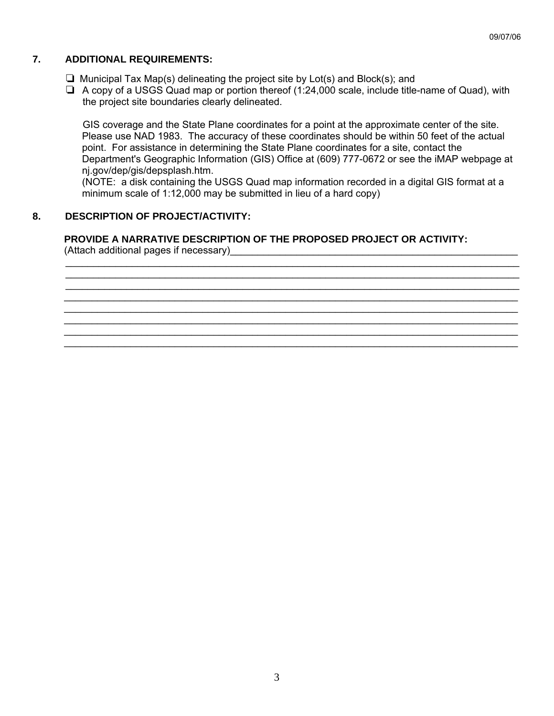# **7. ADDITIONAL REQUIREMENTS:**

- $\Box$  Municipal Tax Map(s) delineating the project site by Lot(s) and Block(s); and
- $\Box$  A copy of a USGS Quad map or portion thereof (1:24,000 scale, include title-name of Quad), with the project site boundaries clearly delineated.

 GIS coverage and the State Plane coordinates for a point at the approximate center of the site. Please use NAD 1983. The accuracy of these coordinates should be within 50 feet of the actual point. For assistance in determining the State Plane coordinates for a site, contact the Department's Geographic Information (GIS) Office at (609) 777-0672 or see the iMAP webpage at nj.gov/dep/gis/depsplash.htm.

(NOTE: a disk containing the USGS Quad map information recorded in a digital GIS format at a minimum scale of 1:12,000 may be submitted in lieu of a hard copy)

\_\_\_\_\_\_\_\_\_\_\_\_\_\_\_\_\_\_\_\_\_\_\_\_\_\_\_\_\_\_\_\_\_\_\_\_\_\_\_\_\_\_\_\_\_\_\_\_\_\_\_\_\_\_\_\_\_\_\_\_\_\_\_\_\_\_\_\_\_\_\_\_\_\_\_\_\_\_\_\_\_\_ \_\_\_\_\_\_\_\_\_\_\_\_\_\_\_\_\_\_\_\_\_\_\_\_\_\_\_\_\_\_\_\_\_\_\_\_\_\_\_\_\_\_\_\_\_\_\_\_\_\_\_\_\_\_\_\_\_\_\_\_\_\_\_\_\_\_\_\_\_\_\_\_\_\_\_\_\_\_\_\_\_\_ \_\_\_\_\_\_\_\_\_\_\_\_\_\_\_\_\_\_\_\_\_\_\_\_\_\_\_\_\_\_\_\_\_\_\_\_\_\_\_\_\_\_\_\_\_\_\_\_\_\_\_\_\_\_\_\_\_\_\_\_\_\_\_\_\_\_\_\_\_\_\_\_\_\_\_\_\_\_\_\_\_\_ \_\_\_\_\_\_\_\_\_\_\_\_\_\_\_\_\_\_\_\_\_\_\_\_\_\_\_\_\_\_\_\_\_\_\_\_\_\_\_\_\_\_\_\_\_\_\_\_\_\_\_\_\_\_\_\_\_\_\_\_\_\_\_\_\_\_\_\_\_\_\_\_\_\_\_\_\_\_\_\_\_\_ \_\_\_\_\_\_\_\_\_\_\_\_\_\_\_\_\_\_\_\_\_\_\_\_\_\_\_\_\_\_\_\_\_\_\_\_\_\_\_\_\_\_\_\_\_\_\_\_\_\_\_\_\_\_\_\_\_\_\_\_\_\_\_\_\_\_\_\_\_\_\_\_\_\_\_\_\_\_\_\_\_\_ \_\_\_\_\_\_\_\_\_\_\_\_\_\_\_\_\_\_\_\_\_\_\_\_\_\_\_\_\_\_\_\_\_\_\_\_\_\_\_\_\_\_\_\_\_\_\_\_\_\_\_\_\_\_\_\_\_\_\_\_\_\_\_\_\_\_\_\_\_\_\_\_\_\_\_\_\_\_\_\_\_\_ \_\_\_\_\_\_\_\_\_\_\_\_\_\_\_\_\_\_\_\_\_\_\_\_\_\_\_\_\_\_\_\_\_\_\_\_\_\_\_\_\_\_\_\_\_\_\_\_\_\_\_\_\_\_\_\_\_\_\_\_\_\_\_\_\_\_\_\_\_\_\_\_\_\_\_\_\_\_\_\_\_\_ \_\_\_\_\_\_\_\_\_\_\_\_\_\_\_\_\_\_\_\_\_\_\_\_\_\_\_\_\_\_\_\_\_\_\_\_\_\_\_\_\_\_\_\_\_\_\_\_\_\_\_\_\_\_\_\_\_\_\_\_\_\_\_\_\_\_\_\_\_\_\_\_\_\_\_\_\_\_\_\_\_\_

# **8. DESCRIPTION OF PROJECT/ACTIVITY:**

## **PROVIDE A NARRATIVE DESCRIPTION OF THE PROPOSED PROJECT OR ACTIVITY:**

(Attach additional pages if necessary)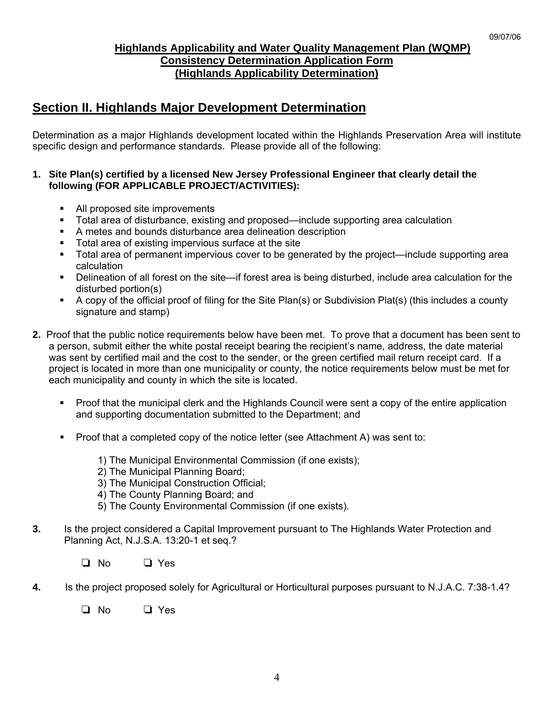# **Highlands Applicability and Water Quality Management Plan (WQMP) Consistency Determination Application Form (Highlands Applicability Determination)**

# **Section II. Highlands Major Development Determination**

Determination as a major Highlands development located within the Highlands Preservation Area will institute specific design and performance standards. Please provide all of the following:

### **1. Site Plan(s) certified by a licensed New Jersey Professional Engineer that clearly detail the following (FOR APPLICABLE PROJECT/ACTIVITIES):**

- All proposed site improvements
- Total area of disturbance, existing and proposed—include supporting area calculation
- A metes and bounds disturbance area delineation description
- Total area of existing impervious surface at the site<br>Total area of nermanent impervious cover to be gene
- Total area of permanent impervious cover to be generated by the project—include supporting area calculation
- Delineation of all forest on the site—if forest area is being disturbed, include area calculation for the disturbed portion(s)
- A copy of the official proof of filing for the Site Plan(s) or Subdivision Plat(s) (this includes a county signature and stamp)
- **2.** Proof that the public notice requirements below have been met. To prove that a document has been sent to a person, submit either the white postal receipt bearing the recipient's name, address, the date material was sent by certified mail and the cost to the sender, or the green certified mail return receipt card. If a project is located in more than one municipality or county, the notice requirements below must be met for each municipality and county in which the site is located.
	- Proof that the municipal clerk and the Highlands Council were sent a copy of the entire application and supporting documentation submitted to the Department; and
	- **Proof that a completed copy of the notice letter (see Attachment A) was sent to:** 
		- 1) The Municipal Environmental Commission (if one exists);
		- 2) The Municipal Planning Board;
		- 3) The Municipal Construction Official;
		- 4) The County Planning Board; and
		- 5) The County Environmental Commission (if one exists).
- **3.** Is the project considered a Capital Improvement pursuant to The Highlands Water Protection and Planning Act, N.J.S.A. 13:20-1 et seq.?
	- $\Box$  No  $\Box$  Yes
- **4.** Is the project proposed solely for Agricultural or Horticultural purposes pursuant to N.J.A.C. 7:38-1.4?
	- $\Box$  No  $\Box$  Yes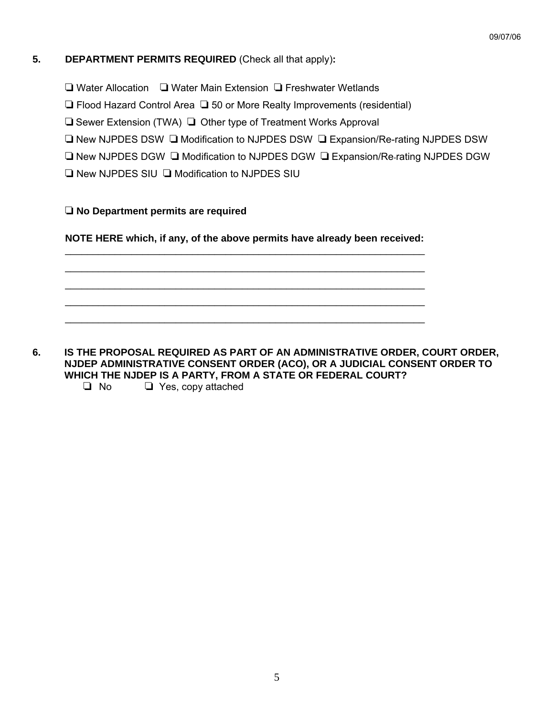## **5. DEPARTMENT PERMITS REQUIRED** (Check all that apply)**:**

- $\Box$  Water Allocation  $\Box$  Water Main Extension  $\Box$  Freshwater Wetlands
- $\Box$  Flood Hazard Control Area  $\Box$  50 or More Realty Improvements (residential)
- $\Box$  Sewer Extension (TWA)  $\Box$  Other type of Treatment Works Approval
- $\Box$  New NJPDES DSW  $\Box$  Modification to NJPDES DSW  $\Box$  Expansion/Re-rating NJPDES DSW
- $\square$  New NJPDES DGW  $\square$  Modification to NJPDES DGW  $\square$  Expansion/Re-rating NJPDES DGW
- $\Box$  New NJPDES SIU  $\Box$  Modification to NJPDES SIU

## R **No Department permits are required**

**NOTE HERE which, if any, of the above permits have already been received:**

 $\overline{\phantom{a}}$  ,  $\overline{\phantom{a}}$  ,  $\overline{\phantom{a}}$  ,  $\overline{\phantom{a}}$  ,  $\overline{\phantom{a}}$  ,  $\overline{\phantom{a}}$  ,  $\overline{\phantom{a}}$  ,  $\overline{\phantom{a}}$  ,  $\overline{\phantom{a}}$  ,  $\overline{\phantom{a}}$  ,  $\overline{\phantom{a}}$  ,  $\overline{\phantom{a}}$  ,  $\overline{\phantom{a}}$  ,  $\overline{\phantom{a}}$  ,  $\overline{\phantom{a}}$  ,  $\overline{\phantom{a}}$  $\overline{\phantom{a}}$  ,  $\overline{\phantom{a}}$  ,  $\overline{\phantom{a}}$  ,  $\overline{\phantom{a}}$  ,  $\overline{\phantom{a}}$  ,  $\overline{\phantom{a}}$  ,  $\overline{\phantom{a}}$  ,  $\overline{\phantom{a}}$  ,  $\overline{\phantom{a}}$  ,  $\overline{\phantom{a}}$  ,  $\overline{\phantom{a}}$  ,  $\overline{\phantom{a}}$  ,  $\overline{\phantom{a}}$  ,  $\overline{\phantom{a}}$  ,  $\overline{\phantom{a}}$  ,  $\overline{\phantom{a}}$  $\overline{\phantom{a}}$  ,  $\overline{\phantom{a}}$  ,  $\overline{\phantom{a}}$  ,  $\overline{\phantom{a}}$  ,  $\overline{\phantom{a}}$  ,  $\overline{\phantom{a}}$  ,  $\overline{\phantom{a}}$  ,  $\overline{\phantom{a}}$  ,  $\overline{\phantom{a}}$  ,  $\overline{\phantom{a}}$  ,  $\overline{\phantom{a}}$  ,  $\overline{\phantom{a}}$  ,  $\overline{\phantom{a}}$  ,  $\overline{\phantom{a}}$  ,  $\overline{\phantom{a}}$  ,  $\overline{\phantom{a}}$  $\overline{\phantom{a}}$  ,  $\overline{\phantom{a}}$  ,  $\overline{\phantom{a}}$  ,  $\overline{\phantom{a}}$  ,  $\overline{\phantom{a}}$  ,  $\overline{\phantom{a}}$  ,  $\overline{\phantom{a}}$  ,  $\overline{\phantom{a}}$  ,  $\overline{\phantom{a}}$  ,  $\overline{\phantom{a}}$  ,  $\overline{\phantom{a}}$  ,  $\overline{\phantom{a}}$  ,  $\overline{\phantom{a}}$  ,  $\overline{\phantom{a}}$  ,  $\overline{\phantom{a}}$  ,  $\overline{\phantom{a}}$  $\overline{\phantom{a}}$  ,  $\overline{\phantom{a}}$  ,  $\overline{\phantom{a}}$  ,  $\overline{\phantom{a}}$  ,  $\overline{\phantom{a}}$  ,  $\overline{\phantom{a}}$  ,  $\overline{\phantom{a}}$  ,  $\overline{\phantom{a}}$  ,  $\overline{\phantom{a}}$  ,  $\overline{\phantom{a}}$  ,  $\overline{\phantom{a}}$  ,  $\overline{\phantom{a}}$  ,  $\overline{\phantom{a}}$  ,  $\overline{\phantom{a}}$  ,  $\overline{\phantom{a}}$  ,  $\overline{\phantom{a}}$ 

**6. IS THE PROPOSAL REQUIRED AS PART OF AN ADMINISTRATIVE ORDER, COURT ORDER, NJDEP ADMINISTRATIVE CONSENT ORDER (ACO), OR A JUDICIAL CONSENT ORDER TO WHICH THE NJDEP IS A PARTY, FROM A STATE OR FEDERAL COURT?** 

 $\Box$  No  $\Box$  Yes, copy attached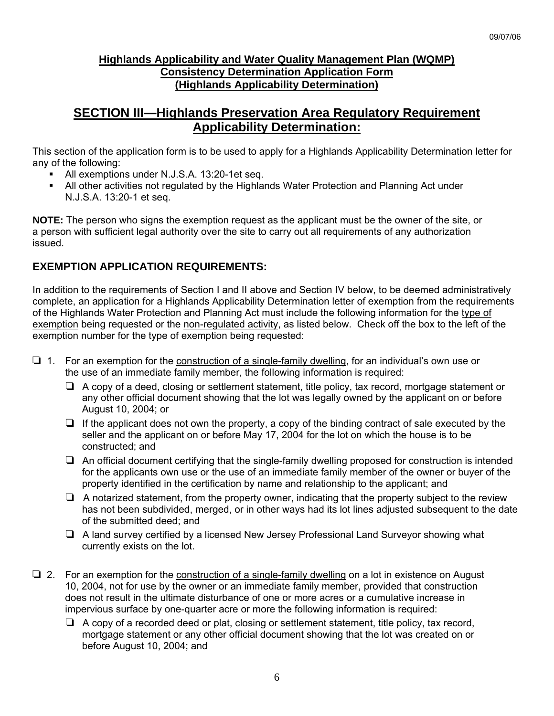# **Highlands Applicability and Water Quality Management Plan (WQMP) Consistency Determination Application Form (Highlands Applicability Determination)**

# **SECTION III—Highlands Preservation Area Regulatory Requirement Applicability Determination:**

This section of the application form is to be used to apply for a Highlands Applicability Determination letter for any of the following:

- All exemptions under N.J.S.A. 13:20-1et seq.
- All other activities not regulated by the Highlands Water Protection and Planning Act under N.J.S.A. 13:20-1 et seq.

**NOTE:** The person who signs the exemption request as the applicant must be the owner of the site, or a person with sufficient legal authority over the site to carry out all requirements of any authorization issued.

# **EXEMPTION APPLICATION REQUIREMENTS:**

In addition to the requirements of Section I and II above and Section IV below, to be deemed administratively complete, an application for a Highlands Applicability Determination letter of exemption from the requirements of the Highlands Water Protection and Planning Act must include the following information for the type of exemption being requested or the non-regulated activity, as listed below. Check off the box to the left of the exemption number for the type of exemption being requested:

- $\Box$  1. For an exemption for the construction of a single-family dwelling, for an individual's own use or the use of an immediate family member, the following information is required:
	- $\Box$  A copy of a deed, closing or settlement statement, title policy, tax record, mortgage statement or any other official document showing that the lot was legally owned by the applicant on or before August 10, 2004; or
	- $\Box$  If the applicant does not own the property, a copy of the binding contract of sale executed by the seller and the applicant on or before May 17, 2004 for the lot on which the house is to be constructed; and
	- $\Box$  An official document certifying that the single-family dwelling proposed for construction is intended for the applicants own use or the use of an immediate family member of the owner or buyer of the property identified in the certification by name and relationship to the applicant; and
	- $\Box$  A notarized statement, from the property owner, indicating that the property subject to the review has not been subdivided, merged, or in other ways had its lot lines adjusted subsequent to the date of the submitted deed; and
	- $\Box$  A land survey certified by a licensed New Jersey Professional Land Surveyor showing what currently exists on the lot.
- $\Box$  2. For an exemption for the construction of a single-family dwelling on a lot in existence on August 10, 2004, not for use by the owner or an immediate family member, provided that construction does not result in the ultimate disturbance of one or more acres or a cumulative increase in impervious surface by one-quarter acre or more the following information is required:
	- $\Box$  A copy of a recorded deed or plat, closing or settlement statement, title policy, tax record, mortgage statement or any other official document showing that the lot was created on or before August 10, 2004; and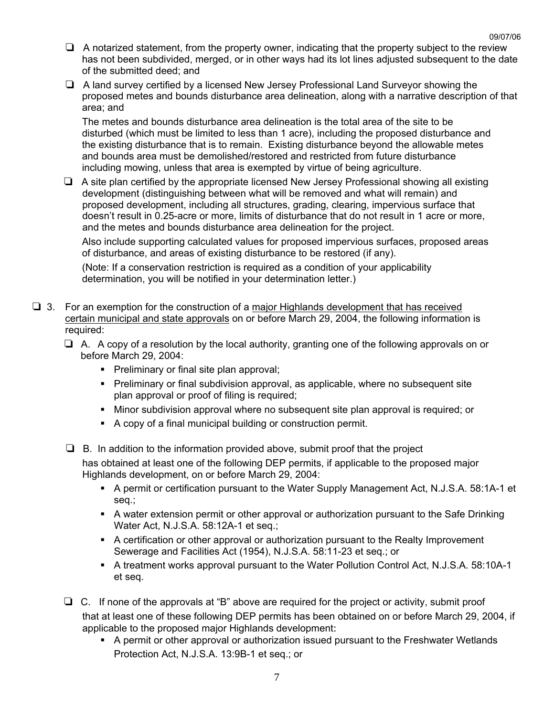- $\Box$  A notarized statement, from the property owner, indicating that the property subject to the review has not been subdivided, merged, or in other ways had its lot lines adjusted subsequent to the date of the submitted deed; and
- $\Box$  A land survey certified by a licensed New Jersey Professional Land Surveyor showing the proposed metes and bounds disturbance area delineation, along with a narrative description of that area; and

The metes and bounds disturbance area delineation is the total area of the site to be disturbed (which must be limited to less than 1 acre), including the proposed disturbance and the existing disturbance that is to remain. Existing disturbance beyond the allowable metes and bounds area must be demolished/restored and restricted from future disturbance including mowing, unless that area is exempted by virtue of being agriculture.

 $\Box$  A site plan certified by the appropriate licensed New Jersey Professional showing all existing development (distinguishing between what will be removed and what will remain) and proposed development, including all structures, grading, clearing, impervious surface that doesn't result in 0.25-acre or more, limits of disturbance that do not result in 1 acre or more, and the metes and bounds disturbance area delineation for the project.

Also include supporting calculated values for proposed impervious surfaces, proposed areas of disturbance, and areas of existing disturbance to be restored (if any).

(Note: If a conservation restriction is required as a condition of your applicability determination, you will be notified in your determination letter.)

- $\square$  3. For an exemption for the construction of a major Highlands development that has received certain municipal and state approvals on or before March 29, 2004, the following information is required:
	- $\Box$  A. A copy of a resolution by the local authority, granting one of the following approvals on or before March 29, 2004:
		- **Preliminary or final site plan approval;**
		- Preliminary or final subdivision approval, as applicable, where no subsequent site plan approval or proof of filing is required;
		- Minor subdivision approval where no subsequent site plan approval is required; or
		- A copy of a final municipal building or construction permit.
	- $\Box$  B. In addition to the information provided above, submit proof that the project has obtained at least one of the following DEP permits, if applicable to the proposed major Highlands development, on or before March 29, 2004:
		- A permit or certification pursuant to the Water Supply Management Act, N.J.S.A. 58:1A-1 et seq.;
		- A water extension permit or other approval or authorization pursuant to the Safe Drinking Water Act, N.J.S.A. 58:12A-1 et seq.;
		- A certification or other approval or authorization pursuant to the Realty Improvement Sewerage and Facilities Act (1954), N.J.S.A. 58:11-23 et seq.; or
		- A treatment works approval pursuant to the Water Pollution Control Act, N.J.S.A. 58:10A-1 et seq.
	- $\Box$  C. If none of the approvals at "B" above are required for the project or activity, submit proof that at least one of these following DEP permits has been obtained on or before March 29, 2004, if applicable to the proposed major Highlands development:
		- A permit or other approval or authorization issued pursuant to the Freshwater Wetlands Protection Act, N.J.S.A. 13:9B-1 et seq.; or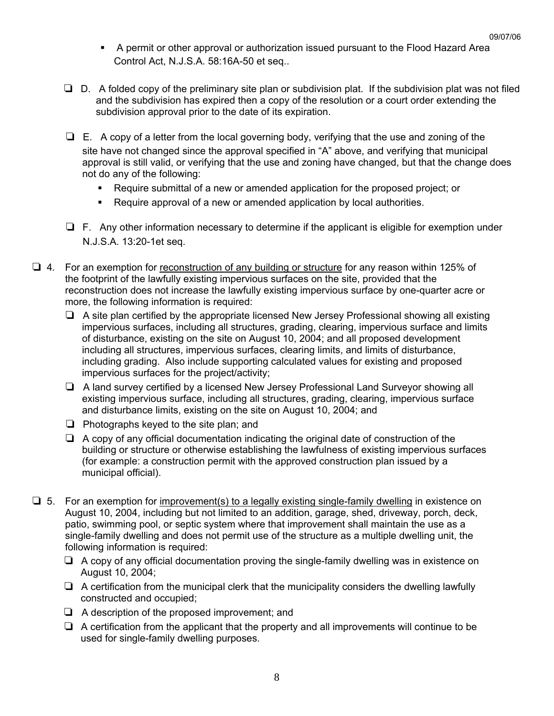- A permit or other approval or authorization issued pursuant to the Flood Hazard Area Control Act, N.J.S.A. 58:16A-50 et seq..
- $\square$  D. A folded copy of the preliminary site plan or subdivision plat. If the subdivision plat was not filed and the subdivision has expired then a copy of the resolution or a court order extending the subdivision approval prior to the date of its expiration.
- $\Box$  E. A copy of a letter from the local governing body, verifying that the use and zoning of the site have not changed since the approval specified in "A" above, and verifying that municipal approval is still valid, or verifying that the use and zoning have changed, but that the change does not do any of the following:
	- Require submittal of a new or amended application for the proposed project; or
	- Require approval of a new or amended application by local authorities.
- $\Box$  F. Any other information necessary to determine if the applicant is eligible for exemption under N.J.S.A. 13:20-1et seq.
- R 4*.* For an exemption for reconstruction of any building or structure for any reason within 125% of the footprint of the lawfully existing impervious surfaces on the site, provided that the reconstruction does not increase the lawfully existing impervious surface by one-quarter acre or more, the following information is required:
	- $\Box$  A site plan certified by the appropriate licensed New Jersey Professional showing all existing impervious surfaces, including all structures, grading, clearing, impervious surface and limits of disturbance, existing on the site on August 10, 2004; and all proposed development including all structures, impervious surfaces, clearing limits, and limits of disturbance, including grading. Also include supporting calculated values for existing and proposed impervious surfaces for the project/activity;
	- $\Box$  A land survey certified by a licensed New Jersey Professional Land Surveyor showing all existing impervious surface, including all structures, grading, clearing, impervious surface and disturbance limits, existing on the site on August 10, 2004; and
	- $\Box$  Photographs keyed to the site plan; and
	- $\Box$  A copy of any official documentation indicating the original date of construction of the building or structure or otherwise establishing the lawfulness of existing impervious surfaces (for example: a construction permit with the approved construction plan issued by a municipal official).
- $\Box$  5. For an exemption for improvement(s) to a legally existing single-family dwelling in existence on August 10, 2004, including but not limited to an addition, garage, shed, driveway, porch, deck, patio, swimming pool, or septic system where that improvement shall maintain the use as a single-family dwelling and does not permit use of the structure as a multiple dwelling unit, the following information is required:
	- $\Box$  A copy of any official documentation proving the single-family dwelling was in existence on August 10, 2004;
	- $\Box$  A certification from the municipal clerk that the municipality considers the dwelling lawfully constructed and occupied;
	- $\Box$  A description of the proposed improvement; and
	- $\Box$  A certification from the applicant that the property and all improvements will continue to be used for single-family dwelling purposes.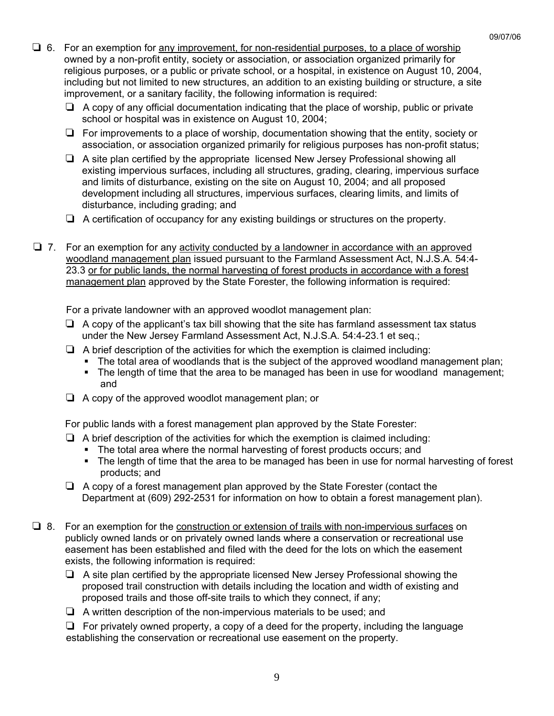- $\Box$  6. For an exemption for any improvement, for non-residential purposes, to a place of worship owned by a non-profit entity, society or association, or association organized primarily for religious purposes, or a public or private school, or a hospital, in existence on August 10, 2004, including but not limited to new structures, an addition to an existing building or structure, a site improvement, or a sanitary facility, the following information is required:
	- $\Box$  A copy of any official documentation indicating that the place of worship, public or private school or hospital was in existence on August 10, 2004;
	- $\Box$  For improvements to a place of worship, documentation showing that the entity, society or association, or association organized primarily for religious purposes has non-profit status;
	- $\Box$  A site plan certified by the appropriate licensed New Jersey Professional showing all existing impervious surfaces, including all structures, grading, clearing, impervious surface and limits of disturbance, existing on the site on August 10, 2004; and all proposed development including all structures, impervious surfaces, clearing limits, and limits of disturbance, including grading; and
	- $\Box$  A certification of occupancy for any existing buildings or structures on the property.
- $\Box$  7. For an exemption for any activity conducted by a landowner in accordance with an approved woodland management plan issued pursuant to the Farmland Assessment Act, N.J.S.A. 54:4- 23.3 or for public lands, the normal harvesting of forest products in accordance with a forest management plan approved by the State Forester, the following information is required:

For a private landowner with an approved woodlot management plan:

- $\Box$  A copy of the applicant's tax bill showing that the site has farmland assessment tax status under the New Jersey Farmland Assessment Act, N.J.S.A. 54:4-23.1 et seq.;
- $\Box$  A brief description of the activities for which the exemption is claimed including:
	- The total area of woodlands that is the subject of the approved woodland management plan;
	- The length of time that the area to be managed has been in use for woodland management; and
- $\Box$  A copy of the approved woodlot management plan; or

For public lands with a forest management plan approved by the State Forester:

- $\Box$  A brief description of the activities for which the exemption is claimed including:
	- The total area where the normal harvesting of forest products occurs; and
	- The length of time that the area to be managed has been in use for normal harvesting of forest products; and
- $\Box$  A copy of a forest management plan approved by the State Forester (contact the Department at (609) 292-2531 for information on how to obtain a forest management plan).
- $\Box$  8. For an exemption for the construction or extension of trails with non-impervious surfaces on publicly owned lands or on privately owned lands where a conservation or recreational use easement has been established and filed with the deed for the lots on which the easement exists, the following information is required:
	- $\Box$  A site plan certified by the appropriate licensed New Jersey Professional showing the proposed trail construction with details including the location and width of existing and proposed trails and those off-site trails to which they connect, if any;
	- $\Box$  A written description of the non-impervious materials to be used; and

 $\Box$  For privately owned property, a copy of a deed for the property, including the language establishing the conservation or recreational use easement on the property.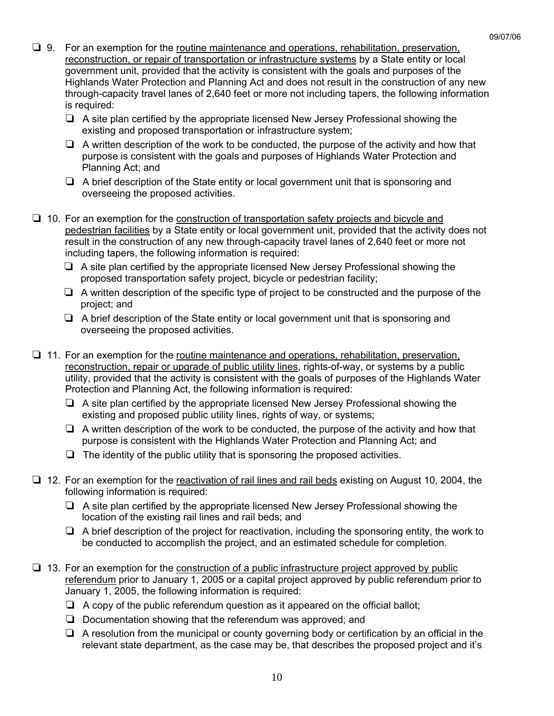- $\Box$  9. For an exemption for the routine maintenance and operations, rehabilitation, preservation, reconstruction, or repair of transportation or infrastructure systems by a State entity or local government unit, provided that the activity is consistent with the goals and purposes of the Highlands Water Protection and Planning Act and does not result in the construction of any new through-capacity travel lanes of 2,640 feet or more not including tapers, the following information is required:
	- $\Box$  A site plan certified by the appropriate licensed New Jersey Professional showing the existing and proposed transportation or infrastructure system;
	- $\Box$  A written description of the work to be conducted, the purpose of the activity and how that purpose is consistent with the goals and purposes of Highlands Water Protection and Planning Act; and
	- $\Box$  A brief description of the State entity or local government unit that is sponsoring and overseeing the proposed activities.
- $\Box$  10. For an exemption for the construction of transportation safety projects and bicycle and pedestrian facilities by a State entity or local government unit, provided that the activity does not result in the construction of any new through-capacity travel lanes of 2,640 feet or more not including tapers, the following information is required:
	- $\Box$  A site plan certified by the appropriate licensed New Jersey Professional showing the proposed transportation safety project, bicycle or pedestrian facility;
	- $\Box$  A written description of the specific type of project to be constructed and the purpose of the project; and
	- $\Box$  A brief description of the State entity or local government unit that is sponsoring and overseeing the proposed activities.
- $\Box$  11. For an exemption for the routine maintenance and operations, rehabilitation, preservation, reconstruction, repair or upgrade of public utility lines, rights-of-way, or systems by a public utility, provided that the activity is consistent with the goals of purposes of the Highlands Water Protection and Planning Act, the following information is required:
	- $\Box$  A site plan certified by the appropriate licensed New Jersey Professional showing the existing and proposed public utility lines, rights of way, or systems;
	- $\Box$  A written description of the work to be conducted, the purpose of the activity and how that purpose is consistent with the Highlands Water Protection and Planning Act; and
	- $\Box$  The identity of the public utility that is sponsoring the proposed activities.
- $\Box$  12. For an exemption for the reactivation of rail lines and rail beds existing on August 10, 2004, the following information is required:
	- $\Box$  A site plan certified by the appropriate licensed New Jersey Professional showing the location of the existing rail lines and rail beds; and
	- $\Box$  A brief description of the project for reactivation, including the sponsoring entity, the work to be conducted to accomplish the project, and an estimated schedule for completion.
- $\Box$  13. For an exemption for the construction of a public infrastructure project approved by public referendum prior to January 1, 2005 or a capital project approved by public referendum prior to January 1, 2005, the following information is required:
	- $\Box$  A copy of the public referendum question as it appeared on the official ballot;
	- $\Box$  Documentation showing that the referendum was approved; and
	- $\Box$  A resolution from the municipal or county governing body or certification by an official in the relevant state department, as the case may be, that describes the proposed project and it's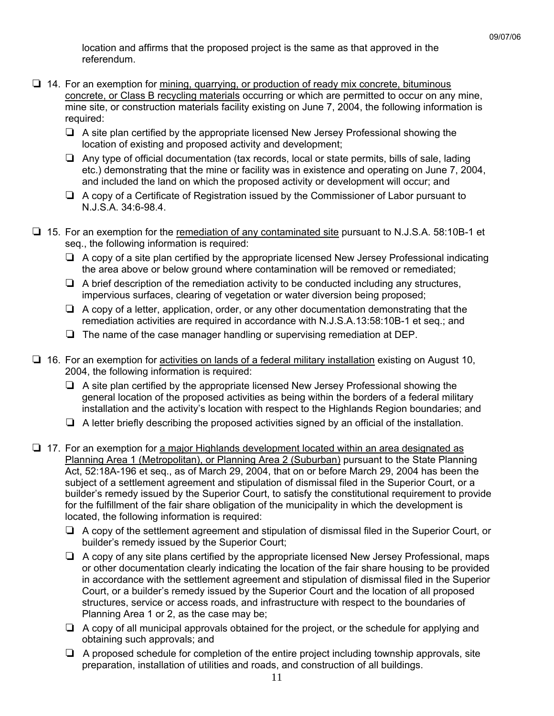location and affirms that the proposed project is the same as that approved in the referendum.

- $\Box$  14. For an exemption for mining, quarrying, or production of ready mix concrete, bituminous concrete, or Class B recycling materials occurring or which are permitted to occur on any mine, mine site, or construction materials facility existing on June 7, 2004, the following information is required:
	- $\Box$  A site plan certified by the appropriate licensed New Jersey Professional showing the location of existing and proposed activity and development;
	- $\Box$  Any type of official documentation (tax records, local or state permits, bills of sale, lading etc.) demonstrating that the mine or facility was in existence and operating on June 7, 2004, and included the land on which the proposed activity or development will occur; and
	- $\Box$  A copy of a Certificate of Registration issued by the Commissioner of Labor pursuant to N.J.S.A. 34:6-98.4.
- □ 15. For an exemption for the remediation of any contaminated site pursuant to N.J.S.A. 58:10B-1 et seq., the following information is required:
	- $\Box$  A copy of a site plan certified by the appropriate licensed New Jersey Professional indicating the area above or below ground where contamination will be removed or remediated;
	- $\Box$  A brief description of the remediation activity to be conducted including any structures, impervious surfaces, clearing of vegetation or water diversion being proposed;
	- $\Box$  A copy of a letter, application, order, or any other documentation demonstrating that the remediation activities are required in accordance with N.J.S.A.13:58:10B-1 et seq.; and
	- $\Box$  The name of the case manager handling or supervising remediation at DEP.
- $\Box$  16. For an exemption for activities on lands of a federal military installation existing on August 10, 2004, the following information is required:
	- $\Box$  A site plan certified by the appropriate licensed New Jersey Professional showing the general location of the proposed activities as being within the borders of a federal military installation and the activity's location with respect to the Highlands Region boundaries; and
	- $\Box$  A letter briefly describing the proposed activities signed by an official of the installation.
- $\Box$  17. For an exemption for a major Highlands development located within an area designated as Planning Area 1 (Metropolitan), or Planning Area 2 (Suburban) pursuant to the State Planning Act, 52:18A-196 et seq., as of March 29, 2004, that on or before March 29, 2004 has been the subject of a settlement agreement and stipulation of dismissal filed in the Superior Court, or a builder's remedy issued by the Superior Court, to satisfy the constitutional requirement to provide for the fulfillment of the fair share obligation of the municipality in which the development is located, the following information is required:
	- $\Box$  A copy of the settlement agreement and stipulation of dismissal filed in the Superior Court, or builder's remedy issued by the Superior Court;
	- $\Box$  A copy of any site plans certified by the appropriate licensed New Jersey Professional, maps or other documentation clearly indicating the location of the fair share housing to be provided in accordance with the settlement agreement and stipulation of dismissal filed in the Superior Court, or a builder's remedy issued by the Superior Court and the location of all proposed structures, service or access roads, and infrastructure with respect to the boundaries of Planning Area 1 or 2, as the case may be;
	- $\Box$  A copy of all municipal approvals obtained for the project, or the schedule for applying and obtaining such approvals; and
	- $\Box$  A proposed schedule for completion of the entire project including township approvals, site preparation, installation of utilities and roads, and construction of all buildings.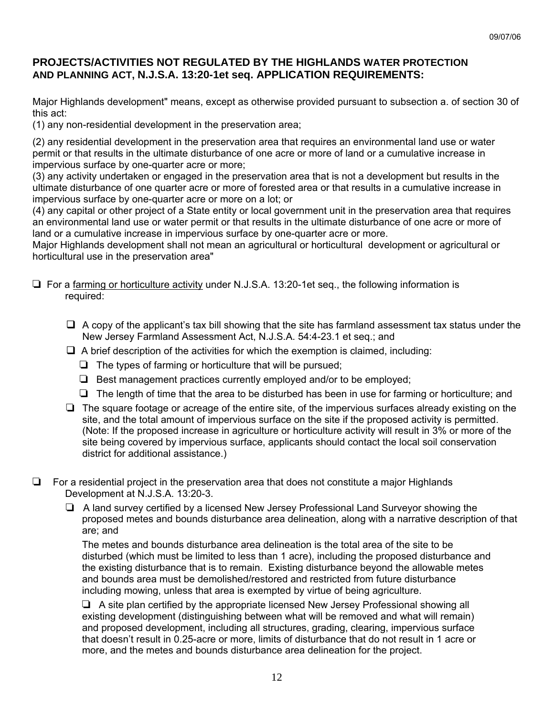# **PROJECTS/ACTIVITIES NOT REGULATED BY THE HIGHLANDS WATER PROTECTION AND PLANNING ACT, N.J.S.A. 13:20-1et seq. APPLICATION REQUIREMENTS:**

Major Highlands development" means, except as otherwise provided pursuant to subsection a. of section 30 of this act:

(1) any non-residential development in the preservation area;

(2) any residential development in the preservation area that requires an environmental land use or water permit or that results in the ultimate disturbance of one acre or more of land or a cumulative increase in impervious surface by one-quarter acre or more;

(3) any activity undertaken or engaged in the preservation area that is not a development but results in the ultimate disturbance of one quarter acre or more of forested area or that results in a cumulative increase in impervious surface by one-quarter acre or more on a lot; or

(4) any capital or other project of a State entity or local government unit in the preservation area that requires an environmental land use or water permit or that results in the ultimate disturbance of one acre or more of land or a cumulative increase in impervious surface by one-quarter acre or more.

Major Highlands development shall not mean an agricultural or horticultural development or agricultural or horticultural use in the preservation area"

- $\Box$  For a farming or horticulture activity under N.J.S.A. 13:20-1et seq., the following information is required:
	- $\Box$  A copy of the applicant's tax bill showing that the site has farmland assessment tax status under the New Jersey Farmland Assessment Act, N.J.S.A. 54:4-23.1 et seq.; and
	- $\Box$  A brief description of the activities for which the exemption is claimed, including:
		- $\Box$  The types of farming or horticulture that will be pursued;
		- $\Box$  Best management practices currently employed and/or to be employed;
		- $\Box$  The length of time that the area to be disturbed has been in use for farming or horticulture; and
	- $\Box$  The square footage or acreage of the entire site, of the impervious surfaces already existing on the site, and the total amount of impervious surface on the site if the proposed activity is permitted. (Note: If the proposed increase in agriculture or horticulture activity will result in 3% or more of the site being covered by impervious surface, applicants should contact the local soil conservation district for additional assistance.)
- $\Box$  For a residential project in the preservation area that does not constitute a major Highlands Development at N.J.S.A. 13:20-3.
	- $\Box$  A land survey certified by a licensed New Jersey Professional Land Surveyor showing the proposed metes and bounds disturbance area delineation, along with a narrative description of that are; and

The metes and bounds disturbance area delineation is the total area of the site to be disturbed (which must be limited to less than 1 acre), including the proposed disturbance and the existing disturbance that is to remain. Existing disturbance beyond the allowable metes and bounds area must be demolished/restored and restricted from future disturbance including mowing, unless that area is exempted by virtue of being agriculture.

 $\Box$  A site plan certified by the appropriate licensed New Jersey Professional showing all existing development (distinguishing between what will be removed and what will remain) and proposed development, including all structures, grading, clearing, impervious surface that doesn't result in 0.25-acre or more, limits of disturbance that do not result in 1 acre or more, and the metes and bounds disturbance area delineation for the project.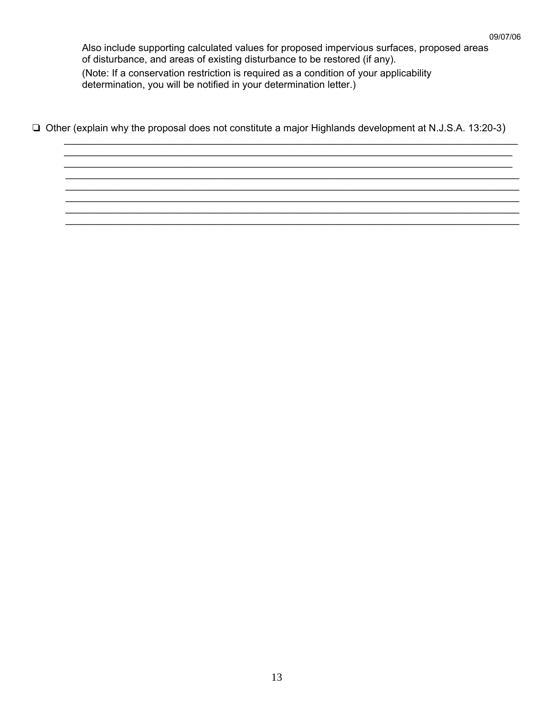Also include supporting calculated values for proposed impervious surfaces, proposed areas of disturbance, and areas of existing disturbance to be restored (if any). (Note: If a conservation restriction is required as a condition of your applicability determination, you will be notified in your determination letter.)

 $\Box$  Other (explain why the proposal does not constitute a major Highlands development at N.J.S.A. 13:20-3)

\_\_\_\_\_\_\_\_\_\_\_\_\_\_\_\_\_\_\_\_\_\_\_\_\_\_\_\_\_\_\_\_\_\_\_\_\_\_\_\_\_\_\_\_\_\_\_\_\_\_\_\_\_\_\_\_\_\_\_\_\_\_\_\_\_\_\_\_\_\_\_\_\_\_\_\_\_\_\_\_\_\_ \_\_\_\_\_\_\_\_\_\_\_\_\_\_\_\_\_\_\_\_\_\_\_\_\_\_\_\_\_\_\_\_\_\_\_\_\_\_\_\_\_\_\_\_\_\_\_\_\_\_\_\_\_\_\_\_\_\_\_\_\_\_\_\_\_\_\_\_\_\_\_\_\_\_\_\_\_\_\_\_\_ \_\_\_\_\_\_\_\_\_\_\_\_\_\_\_\_\_\_\_\_\_\_\_\_\_\_\_\_\_\_\_\_\_\_\_\_\_\_\_\_\_\_\_\_\_\_\_\_\_\_\_\_\_\_\_\_\_\_\_\_\_\_\_\_\_\_\_\_\_\_\_\_\_\_\_\_\_\_\_\_\_ \_\_\_\_\_\_\_\_\_\_\_\_\_\_\_\_\_\_\_\_\_\_\_\_\_\_\_\_\_\_\_\_\_\_\_\_\_\_\_\_\_\_\_\_\_\_\_\_\_\_\_\_\_\_\_\_\_\_\_\_\_\_\_\_\_\_\_\_\_\_\_\_\_\_\_\_\_\_\_\_\_\_ \_\_\_\_\_\_\_\_\_\_\_\_\_\_\_\_\_\_\_\_\_\_\_\_\_\_\_\_\_\_\_\_\_\_\_\_\_\_\_\_\_\_\_\_\_\_\_\_\_\_\_\_\_\_\_\_\_\_\_\_\_\_\_\_\_\_\_\_\_\_\_\_\_\_\_\_\_\_\_\_\_\_ \_\_\_\_\_\_\_\_\_\_\_\_\_\_\_\_\_\_\_\_\_\_\_\_\_\_\_\_\_\_\_\_\_\_\_\_\_\_\_\_\_\_\_\_\_\_\_\_\_\_\_\_\_\_\_\_\_\_\_\_\_\_\_\_\_\_\_\_\_\_\_\_\_\_\_\_\_\_\_\_\_\_ \_\_\_\_\_\_\_\_\_\_\_\_\_\_\_\_\_\_\_\_\_\_\_\_\_\_\_\_\_\_\_\_\_\_\_\_\_\_\_\_\_\_\_\_\_\_\_\_\_\_\_\_\_\_\_\_\_\_\_\_\_\_\_\_\_\_\_\_\_\_\_\_\_\_\_\_\_\_\_\_\_\_ \_\_\_\_\_\_\_\_\_\_\_\_\_\_\_\_\_\_\_\_\_\_\_\_\_\_\_\_\_\_\_\_\_\_\_\_\_\_\_\_\_\_\_\_\_\_\_\_\_\_\_\_\_\_\_\_\_\_\_\_\_\_\_\_\_\_\_\_\_\_\_\_\_\_\_\_\_\_\_\_\_\_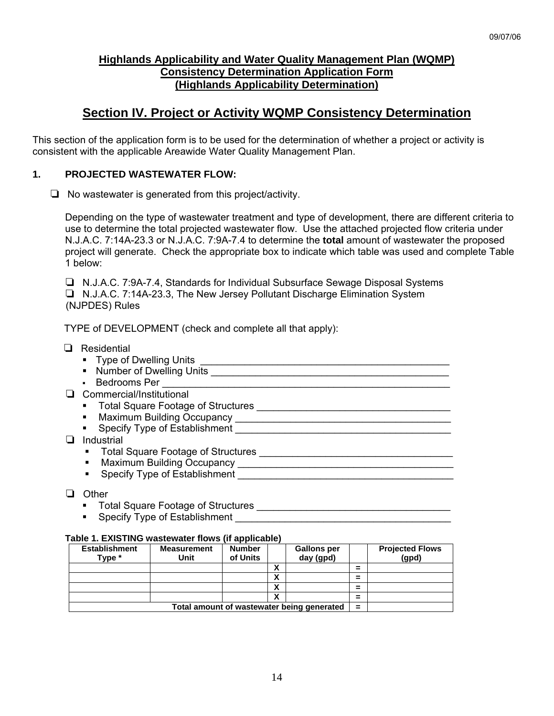# **Highlands Applicability and Water Quality Management Plan (WQMP) Consistency Determination Application Form (Highlands Applicability Determination)**

# **Section IV. Project or Activity WQMP Consistency Determination**

This section of the application form is to be used for the determination of whether a project or activity is consistent with the applicable Areawide Water Quality Management Plan.

# **1. PROJECTED WASTEWATER FLOW:**

 $\Box$  No wastewater is generated from this project/activity.

 Depending on the type of wastewater treatment and type of development, there are different criteria to use to determine the total projected wastewater flow. Use the attached projected flow criteria under N.J.A.C. 7:14A-23.3 or N.J.A.C. 7:9A-7.4 to determine the **total** amount of wastewater the proposed project will generate. Check the appropriate box to indicate which table was used and complete Table 1 below:

□ N.J.A.C. 7:9A-7.4, Standards for Individual Subsurface Sewage Disposal Systems R N.J.A.C. 7:14A-23.3, The New Jersey Pollutant Discharge Elimination System (NJPDES) Rules

TYPE of DEVELOPMENT (check and complete all that apply):

| Residential                                     |
|-------------------------------------------------|
| ■ Type of Dwelling Units _                      |
| • Number of Dwelling Units                      |
| Bedrooms Per<br>$\blacksquare$                  |
| Commercial/Institutional                        |
| • Total Square Footage of Structures            |
| <b>Maximum Building Occupancy</b><br>٠          |
| Specify Type of Establishment<br>$\blacksquare$ |
| Industrial                                      |
| Total Square Footage of Structures              |
| Maximum Building Occupancy                      |
| Specify Type of Establishment<br>٠              |
|                                                 |

- D Other
	- Total Square Footage of Structures \_\_\_\_\_\_\_\_\_\_\_\_\_\_\_\_\_\_\_\_\_\_\_\_\_\_\_\_\_\_\_\_\_\_\_
	- Specify Type of Establishment

#### **Table 1. EXISTING wastewater flows (if applicable)**

| <b>Establishment</b><br>Type *             | <b>Measurement</b><br>Unit | <b>Number</b><br>of Units |        | <b>Gallons per</b><br>day (gpd) |   | <b>Projected Flows</b><br>(gpd) |
|--------------------------------------------|----------------------------|---------------------------|--------|---------------------------------|---|---------------------------------|
|                                            |                            |                           | Λ      |                                 | = |                                 |
|                                            |                            |                           | Λ      |                                 | = |                                 |
|                                            |                            |                           | Λ      |                                 | = |                                 |
|                                            |                            |                           | v<br>Λ |                                 | = |                                 |
| Total amount of wastewater being generated |                            |                           |        |                                 |   |                                 |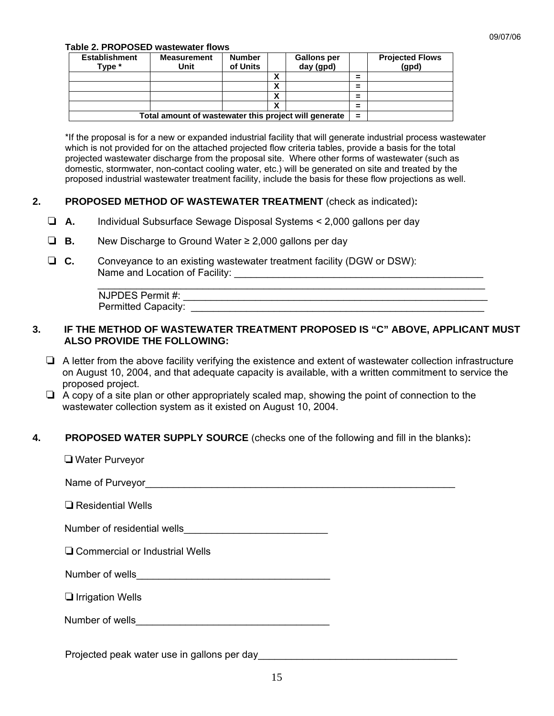#### **Table 2. PROPOSED wastewater flows**

| <b>Establishment</b><br>Type *                        | <b>Measurement</b><br>Unit | <b>Number</b><br>of Units |        | <b>Gallons per</b><br>day (gpd) |                               | <b>Projected Flows</b><br>(gpd) |
|-------------------------------------------------------|----------------------------|---------------------------|--------|---------------------------------|-------------------------------|---------------------------------|
|                                                       |                            |                           | v<br>Λ |                                 | =                             |                                 |
|                                                       |                            |                           | <br>Λ  |                                 | $\overline{\phantom{a}}$<br>- |                                 |
|                                                       |                            |                           | v<br>Λ |                                 | =                             |                                 |
|                                                       |                            |                           | v<br>Λ |                                 | =                             |                                 |
| Total amount of wastewater this project will generate |                            |                           |        |                                 | $\equiv$                      |                                 |

\*If the proposal is for a new or expanded industrial facility that will generate industrial process wastewater which is not provided for on the attached projected flow criteria tables, provide a basis for the total projected wastewater discharge from the proposal site. Where other forms of wastewater (such as domestic, stormwater, non-contact cooling water, etc.) will be generated on site and treated by the proposed industrial wastewater treatment facility, include the basis for these flow projections as well.

### **2. PROPOSED METHOD OF WASTEWATER TREATMENT** (check as indicated)**:**

- R **A.** Individual Subsurface Sewage Disposal Systems < 2,000 gallons per day
- R **B.** New Discharge to Ground Water ≥ 2,000 gallons per day
- R **C.** Conveyance to an existing wastewater treatment facility (DGW or DSW): Name and Location of Facility:

| NJPDES Permit #:           |  |
|----------------------------|--|
| <b>Permitted Capacity:</b> |  |

### **3. IF THE METHOD OF WASTEWATER TREATMENT PROPOSED IS "C" ABOVE, APPLICANT MUST ALSO PROVIDE THE FOLLOWING:**

- $\Box$  A letter from the above facility verifying the existence and extent of wastewater collection infrastructure on August 10, 2004, and that adequate capacity is available, with a written commitment to service the proposed project.
- $\Box$  A copy of a site plan or other appropriately scaled map, showing the point of connection to the wastewater collection system as it existed on August 10, 2004.

### **4. PROPOSED WATER SUPPLY SOURCE** (checks one of the following and fill in the blanks)**:**

| □ Water Purveyor                                                                                                                        |
|-----------------------------------------------------------------------------------------------------------------------------------------|
|                                                                                                                                         |
| $\Box$ Residential Wells                                                                                                                |
| Number of residential wells <b>Number of residential wells</b>                                                                          |
| $\Box$ Commercial or Industrial Wells                                                                                                   |
|                                                                                                                                         |
| $\Box$ Irrigation Wells                                                                                                                 |
| Number of wells<br><u> 2000 - 2000 - 2000 - 2000 - 2000 - 2000 - 2000 - 2000 - 2000 - 2000 - 2000 - 2000 - 2000 - 2000 - 2000 - 200</u> |
|                                                                                                                                         |

Projected peak water use in gallons per day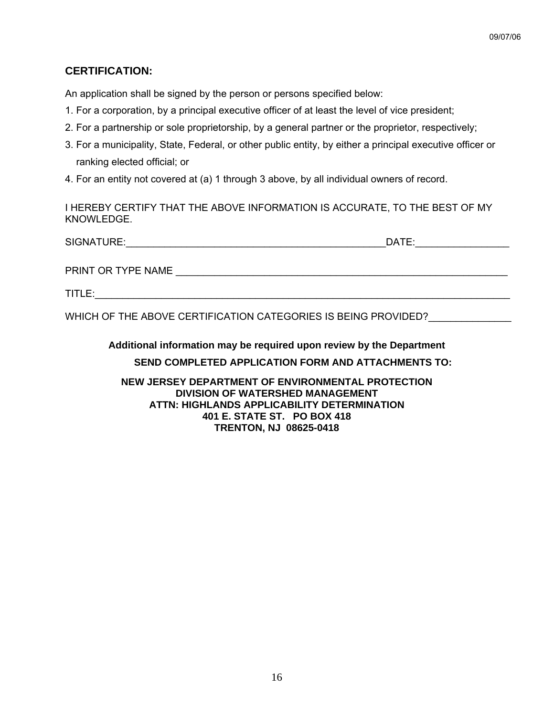# **CERTIFICATION:**

An application shall be signed by the person or persons specified below:

- 1. For a corporation, by a principal executive officer of at least the level of vice president;
- 2. For a partnership or sole proprietorship, by a general partner or the proprietor, respectively;
- 3. For a municipality, State, Federal, or other public entity, by either a principal executive officer or ranking elected official; or
- 4. For an entity not covered at (a) 1 through 3 above, by all individual owners of record.

I HEREBY CERTIFY THAT THE ABOVE INFORMATION IS ACCURATE, TO THE BEST OF MY KNOWLEDGE.

| SIGNATURE:         | DATE: |
|--------------------|-------|
|                    |       |
| PRINT OR TYPE NAME |       |

TITLE:

WHICH OF THE ABOVE CERTIFICATION CATEGORIES IS BEING PROVIDED?

**Additional information may be required upon review by the Department SEND COMPLETED APPLICATION FORM AND ATTACHMENTS TO:** 

**NEW JERSEY DEPARTMENT OF ENVIRONMENTAL PROTECTION DIVISION OF WATERSHED MANAGEMENT ATTN: HIGHLANDS APPLICABILITY DETERMINATION 401 E. STATE ST. PO BOX 418 TRENTON, NJ 08625-0418**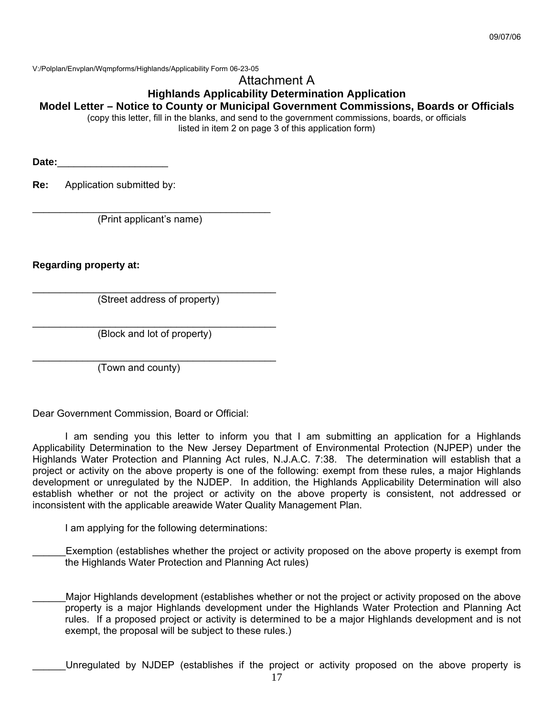V:/Polplan/Envplan/Wqmpforms/Highlands/Applicability Form 06-23-05

## Attachment A

**Highlands Applicability Determination Application** 

## **Model Letter – Notice to County or Municipal Government Commissions, Boards or Officials**

(copy this letter, fill in the blanks, and send to the government commissions, boards, or officials listed in item 2 on page 3 of this application form)

**Date:**\_\_\_\_\_\_\_\_\_\_\_\_\_\_\_\_\_\_\_\_

**Re:** Application submitted by:

\_\_\_\_\_\_\_\_\_\_\_\_\_\_\_\_\_\_\_\_\_\_\_\_\_\_\_\_\_\_\_\_\_\_\_\_\_\_\_\_\_\_\_ (Print applicant's name)

**Regarding property at:** 

 $\mathcal{L}_\text{max}$  , and the set of the set of the set of the set of the set of the set of the set of the set of the set of the set of the set of the set of the set of the set of the set of the set of the set of the set of the (Street address of property)

 $\mathcal{L}_\text{max}$  , and the set of the set of the set of the set of the set of the set of the set of the set of the set of the set of the set of the set of the set of the set of the set of the set of the set of the set of the (Block and lot of property)

\_\_\_\_\_\_\_\_\_\_\_\_\_\_\_\_\_\_\_\_\_\_\_\_\_\_\_\_\_\_\_\_\_\_\_\_\_\_\_\_\_\_\_\_

(Town and county)

Dear Government Commission, Board or Official:

 I am sending you this letter to inform you that I am submitting an application for a Highlands Applicability Determination to the New Jersey Department of Environmental Protection (NJPEP) under the Highlands Water Protection and Planning Act rules, N.J.A.C. 7:38. The determination will establish that a project or activity on the above property is one of the following: exempt from these rules, a major Highlands development or unregulated by the NJDEP. In addition, the Highlands Applicability Determination will also establish whether or not the project or activity on the above property is consistent, not addressed or inconsistent with the applicable areawide Water Quality Management Plan.

I am applying for the following determinations:

Exemption (establishes whether the project or activity proposed on the above property is exempt from the Highlands Water Protection and Planning Act rules)

Major Highlands development (establishes whether or not the project or activity proposed on the above property is a major Highlands development under the Highlands Water Protection and Planning Act rules. If a proposed project or activity is determined to be a major Highlands development and is not exempt, the proposal will be subject to these rules.)

\_\_\_\_\_\_Unregulated by NJDEP (establishes if the project or activity proposed on the above property is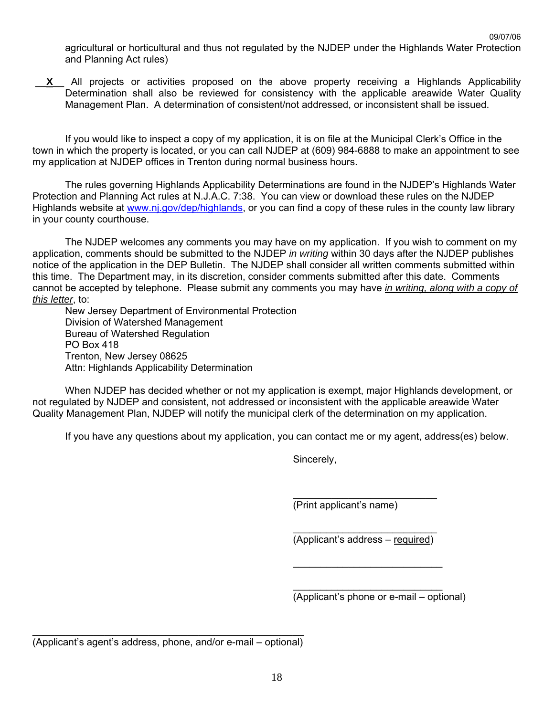agricultural or horticultural and thus not regulated by the NJDEP under the Highlands Water Protection and Planning Act rules)

 \_\_**X**\_\_ All projects or activities proposed on the above property receiving a Highlands Applicability Determination shall also be reviewed for consistency with the applicable areawide Water Quality Management Plan. A determination of consistent/not addressed, or inconsistent shall be issued.

 If you would like to inspect a copy of my application, it is on file at the Municipal Clerk's Office in the town in which the property is located, or you can call NJDEP at (609) 984-6888 to make an appointment to see my application at NJDEP offices in Trenton during normal business hours.

 The rules governing Highlands Applicability Determinations are found in the NJDEP's Highlands Water Protection and Planning Act rules at N.J.A.C. 7:38. You can view or download these rules on the NJDEP Highlands website at www.nj.gov/dep/highlands, or you can find a copy of these rules in the county law library in your county courthouse.

 The NJDEP welcomes any comments you may have on my application. If you wish to comment on my application, comments should be submitted to the NJDEP *in writing* within 30 days after the NJDEP publishes notice of the application in the DEP Bulletin. The NJDEP shall consider all written comments submitted within this time. The Department may, in its discretion, consider comments submitted after this date. Comments cannot be accepted by telephone. Please submit any comments you may have *in writing, along with a copy of this letter*, to:

 New Jersey Department of Environmental Protection Division of Watershed Management Bureau of Watershed Regulation PO Box 418 Trenton, New Jersey 08625 Attn: Highlands Applicability Determination

 When NJDEP has decided whether or not my application is exempt, major Highlands development, or not regulated by NJDEP and consistent, not addressed or inconsistent with the applicable areawide Water Quality Management Plan, NJDEP will notify the municipal clerk of the determination on my application.

 $\mathcal{L}_\text{max}$  , and the contract of the contract of the contract of the contract of the contract of the contract of the contract of the contract of the contract of the contract of the contract of the contract of the contr

 $\mathcal{L}_\text{max}$  , and the contract of the contract of the contract of the contract of the contract of the contract of the contract of the contract of the contract of the contract of the contract of the contract of the contr

 $\mathcal{L}_\mathcal{L} = \{ \mathcal{L}_\mathcal{L} = \{ \mathcal{L}_\mathcal{L} \} \cup \{ \mathcal{L}_\mathcal{L} = \{ \mathcal{L}_\mathcal{L} \} \cup \{ \mathcal{L}_\mathcal{L} = \{ \mathcal{L}_\mathcal{L} \} \cup \{ \mathcal{L}_\mathcal{L} = \{ \mathcal{L}_\mathcal{L} \} \cup \{ \mathcal{L}_\mathcal{L} = \{ \mathcal{L}_\mathcal{L} \} \cup \{ \mathcal{L}_\mathcal{L} = \{ \mathcal{L}_\mathcal{L} \} \cup \{ \mathcal{L}_\$ 

If you have any questions about my application, you can contact me or my agent, address(es) below.

Sincerely,

(Print applicant's name)

(Applicant's address – required)

 $\mathcal{L}_\mathcal{L} = \{ \mathcal{L}_\mathcal{L} \mid \mathcal{L}_\mathcal{L} \}$  , where  $\mathcal{L}_\mathcal{L} = \{ \mathcal{L}_\mathcal{L} \mid \mathcal{L}_\mathcal{L} \}$  , where  $\mathcal{L}_\mathcal{L} = \{ \mathcal{L}_\mathcal{L} \mid \mathcal{L}_\mathcal{L} \}$ (Applicant's phone or e-mail – optional)

\_\_\_\_\_\_\_\_\_\_\_\_\_\_\_\_\_\_\_\_\_\_\_\_\_\_\_\_\_\_\_\_\_\_\_\_\_\_\_\_\_\_\_\_\_\_\_\_\_ (Applicant's agent's address, phone, and/or e-mail – optional)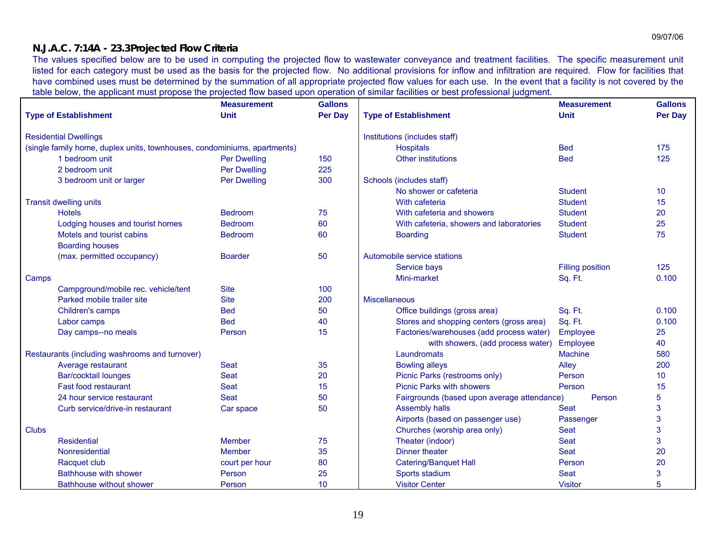## **N.J.A.C. 7:14A - 23.3 Projected Flow Criteria**

The values specified below are to be used in computing the projected flow to wastewater conveyance and treatment facilities. The specific measurement unit listed for each category must be used as the basis for the projected flow. No additional provisions for inflow and infiltration are required. Flow for facilities that have combined uses must be determined by the summation of all appropriate projected flow values for each use. In the event that a facility is not covered by the table below, the applicant must propose the projected flow based upon operation of similar facilities or best professional judgment.

|                                                                          |                                                | <b>Measurement</b>  | <b>Gallons</b>   |                                             | <b>Measurement</b>      | <b>Gallons</b>  |
|--------------------------------------------------------------------------|------------------------------------------------|---------------------|------------------|---------------------------------------------|-------------------------|-----------------|
|                                                                          | <b>Type of Establishment</b>                   | <b>Unit</b>         | <b>Per Day</b>   | <b>Type of Establishment</b>                | <b>Unit</b>             | <b>Per Day</b>  |
|                                                                          | <b>Residential Dwellings</b>                   |                     |                  | Institutions (includes staff)               |                         |                 |
| (single family home, duplex units, townhouses, condominiums, apartments) |                                                |                     | <b>Hospitals</b> | <b>Bed</b>                                  | 175                     |                 |
|                                                                          | 1 bedroom unit                                 | <b>Per Dwelling</b> | 150              | Other institutions                          | <b>Bed</b>              | 125             |
|                                                                          | 2 bedroom unit                                 | <b>Per Dwelling</b> | 225              |                                             |                         |                 |
|                                                                          | 3 bedroom unit or larger                       | <b>Per Dwelling</b> | 300              | Schools (includes staff)                    |                         |                 |
|                                                                          |                                                |                     |                  | No shower or cafeteria                      | <b>Student</b>          | 10              |
|                                                                          | <b>Transit dwelling units</b>                  |                     |                  | With cafeteria                              | <b>Student</b>          | 15              |
|                                                                          | <b>Hotels</b>                                  | <b>Bedroom</b>      | 75               | With cafeteria and showers                  | <b>Student</b>          | 20              |
|                                                                          | Lodging houses and tourist homes               | <b>Bedroom</b>      | 60               | With cafeteria, showers and laboratories    | <b>Student</b>          | 25              |
|                                                                          | Motels and tourist cabins                      | <b>Bedroom</b>      | 60               | <b>Boarding</b>                             | <b>Student</b>          | 75              |
|                                                                          | <b>Boarding houses</b>                         |                     |                  |                                             |                         |                 |
|                                                                          | (max. permitted occupancy)                     | <b>Boarder</b>      | 50               | Automobile service stations                 |                         |                 |
|                                                                          |                                                |                     |                  | Service bays                                | <b>Filling position</b> | 125             |
| Camps                                                                    |                                                |                     |                  | Mini-market                                 | Sq. Ft.                 | 0.100           |
|                                                                          | Campground/mobile rec. vehicle/tent            | <b>Site</b>         | 100              |                                             |                         |                 |
|                                                                          | Parked mobile trailer site                     | <b>Site</b>         | 200              | <b>Miscellaneous</b>                        |                         |                 |
|                                                                          | Children's camps                               | <b>Bed</b>          | 50               | Office buildings (gross area)               | Sq. Ft.                 | 0.100           |
|                                                                          | Labor camps                                    | <b>Bed</b>          | 40               | Stores and shopping centers (gross area)    | Sq. Ft.                 | 0.100           |
|                                                                          | Day camps--no meals                            | Person              | 15               | Factories/warehouses (add process water)    | Employee                | 25              |
|                                                                          |                                                |                     |                  | with showers, (add process water)           | Employee                | 40              |
|                                                                          | Restaurants (including washrooms and turnover) |                     |                  | Laundromats                                 | <b>Machine</b>          | 580             |
|                                                                          | Average restaurant                             | Seat                | 35               | <b>Bowling alleys</b>                       | Alley                   | 200             |
|                                                                          | Bar/cocktail lounges                           | Seat                | 20               | Picnic Parks (restrooms only)               | Person                  | 10 <sup>1</sup> |
|                                                                          | <b>Fast food restaurant</b>                    | Seat                | 15               | <b>Picnic Parks with showers</b>            | Person                  | 15              |
|                                                                          | 24 hour service restaurant                     | <b>Seat</b>         | 50               | Fairgrounds (based upon average attendance) | Person                  | 5               |
|                                                                          | Curb service/drive-in restaurant               | Car space           | 50               | <b>Assembly halls</b>                       | Seat                    | 3               |
|                                                                          |                                                |                     |                  | Airports (based on passenger use)           | Passenger               | 3               |
| <b>Clubs</b>                                                             |                                                |                     |                  | Churches (worship area only)                | <b>Seat</b>             | 3               |
|                                                                          | <b>Residential</b>                             | Member              | 75               | Theater (indoor)                            | <b>Seat</b>             | 3               |
|                                                                          | Nonresidential                                 | Member              | 35               | Dinner theater                              | <b>Seat</b>             | 20              |
|                                                                          | Racquet club                                   | court per hour      | 80               | <b>Catering/Banquet Hall</b>                | Person                  | 20              |
|                                                                          | <b>Bathhouse with shower</b>                   | Person              | 25               | Sports stadium                              | <b>Seat</b>             | 3               |
|                                                                          | Bathhouse without shower                       | Person              | 10               | <b>Visitor Center</b>                       | <b>Visitor</b>          | 5               |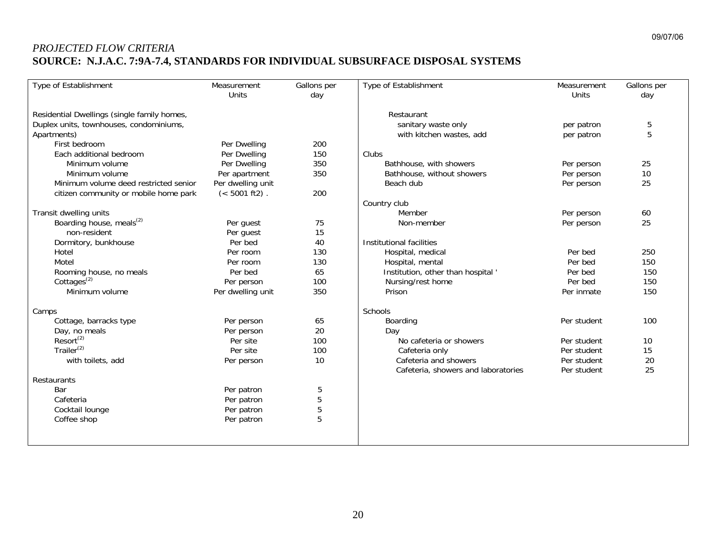# *PROJECTED FLOW CRITERIA*  **SOURCE: N.J.A.C. 7:9A-7.4, STANDARDS FOR INDIVIDUAL SUBSURFACE DISPOSAL SYSTEMS**

| Type of Establishment                       | Measurement<br><b>Units</b> | Gallons per<br>day | Type of Establishment               | Measurement<br>Units | Gallons per<br>day |
|---------------------------------------------|-----------------------------|--------------------|-------------------------------------|----------------------|--------------------|
| Residential Dwellings (single family homes, |                             |                    | Restaurant                          |                      |                    |
| Duplex units, townhouses, condominiums,     |                             |                    | sanitary waste only                 | per patron           | 5                  |
| Apartments)                                 |                             |                    | with kitchen wastes, add            | per patron           | 5                  |
| First bedroom                               | Per Dwelling                | 200                |                                     |                      |                    |
| Each additional bedroom                     | Per Dwelling                | 150                | Clubs                               |                      |                    |
| Minimum volume                              | Per Dwelling                | 350                | Bathhouse, with showers             | Per person           | 25                 |
| Minimum volume                              | Per apartment               | 350                | Bathhouse, without showers          | Per person           | 10                 |
| Minimum volume deed restricted senior       | Per dwelling unit           |                    | Beach dub                           | Per person           | 25                 |
| citizen community or mobile home park       | $(< 5001$ ft2).             | 200                |                                     |                      |                    |
|                                             |                             |                    | Country club                        |                      |                    |
| Transit dwelling units                      |                             |                    | Member                              | Per person           | 60                 |
| Boarding house, meals <sup>(2)</sup>        | Per guest                   | 75                 | Non-member                          | Per person           | 25                 |
| non-resident                                | Per guest                   | 15                 |                                     |                      |                    |
| Dormitory, bunkhouse                        | Per bed                     | 40                 | Institutional facilities            |                      |                    |
| Hotel                                       | Per room                    | 130                | Hospital, medical                   | Per bed              | 250                |
| Motel                                       | Per room                    | 130                | Hospital, mental                    | Per bed              | 150                |
| Rooming house, no meals                     | Per bed                     | 65                 | Institution, other than hospital    | Per bed              | 150                |
| Cottages <sup><math>(2)</math></sup>        | Per person                  | 100                | Nursing/rest home                   | Per bed              | 150                |
| Minimum volume                              | Per dwelling unit           | 350                | Prison                              | Per inmate           | 150                |
| Camps                                       |                             |                    | Schools                             |                      |                    |
| Cottage, barracks type                      | Per person                  | 65                 | Boarding                            | Per student          | 100                |
| Day, no meals                               | Per person                  | 20                 | Day                                 |                      |                    |
| Resort <sup>(2)</sup>                       | Per site                    | 100                | No cafeteria or showers             | Per student          | 10                 |
| Trailer $(2)$                               | Per site                    | 100                | Cafeteria only                      | Per student          | 15                 |
| with toilets, add                           | Per person                  | 10                 | Cafeteria and showers               | Per student          | 20                 |
|                                             |                             |                    | Cafeteria, showers and laboratories | Per student          | 25                 |
| Restaurants                                 |                             |                    |                                     |                      |                    |
| Bar                                         | Per patron                  | 5                  |                                     |                      |                    |
| Cafeteria                                   | Per patron                  | 5                  |                                     |                      |                    |
| Cocktail lounge                             | Per patron                  | 5                  |                                     |                      |                    |
| Coffee shop                                 | Per patron                  | 5                  |                                     |                      |                    |
|                                             |                             |                    |                                     |                      |                    |
|                                             |                             |                    |                                     |                      |                    |